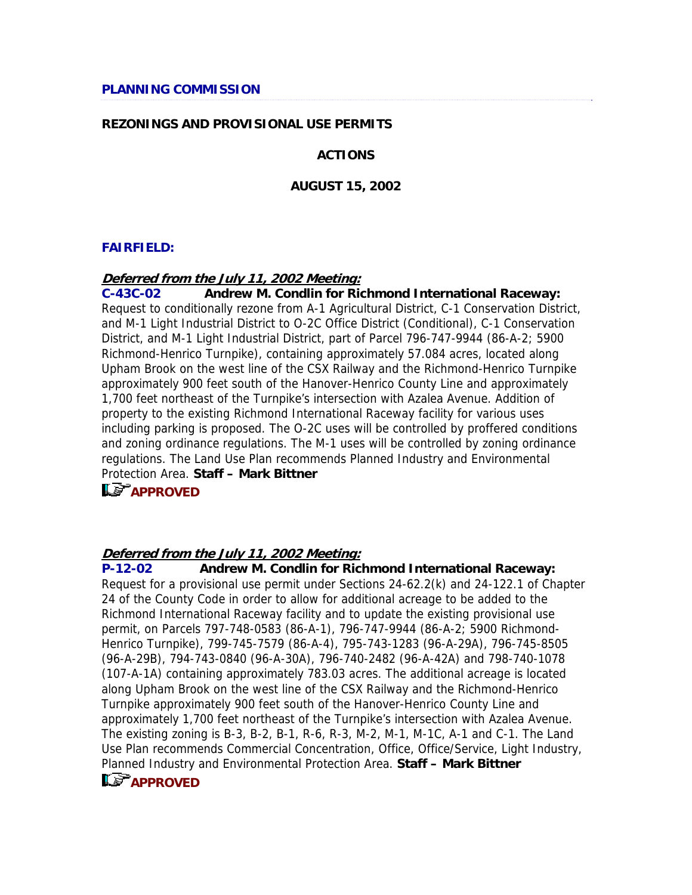### **REZONINGS AND PROVISIONAL USE PERMITS**

### **ACTIONS**

#### **AUGUST 15, 2002**

#### **FAIRFIELD:**

#### **Deferred from the July 11, 2002 Meeting:**

**C-43C-02 Andrew M. Condlin for Richmond International Raceway:** Request to conditionally rezone from A-1 Agricultural District, C-1 Conservation District, and M-1 Light Industrial District to O-2C Office District (Conditional), C-1 Conservation District, and M-1 Light Industrial District, part of Parcel 796-747-9944 (86-A-2; 5900 Richmond-Henrico Turnpike), containing approximately 57.084 acres, located along Upham Brook on the west line of the CSX Railway and the Richmond-Henrico Turnpike approximately 900 feet south of the Hanover-Henrico County Line and approximately 1,700 feet northeast of the Turnpike's intersection with Azalea Avenue. Addition of property to the existing Richmond International Raceway facility for various uses including parking is proposed. The O-2C uses will be controlled by proffered conditions and zoning ordinance regulations. The M-1 uses will be controlled by zoning ordinance regulations. The Land Use Plan recommends Planned Industry and Environmental Protection Area. **Staff – Mark Bittner** 

# **APPROVED**

#### **Deferred from the July 11, 2002 Meeting:**

**P-12-02 Andrew M. Condlin for Richmond International Raceway:** Request for a provisional use permit under Sections 24-62.2(k) and 24-122.1 of Chapter 24 of the County Code in order to allow for additional acreage to be added to the Richmond International Raceway facility and to update the existing provisional use permit, on Parcels 797-748-0583 (86-A-1), 796-747-9944 (86-A-2; 5900 Richmond-Henrico Turnpike), 799-745-7579 (86-A-4), 795-743-1283 (96-A-29A), 796-745-8505 (96-A-29B), 794-743-0840 (96-A-30A), 796-740-2482 (96-A-42A) and 798-740-1078 (107-A-1A) containing approximately 783.03 acres. The additional acreage is located along Upham Brook on the west line of the CSX Railway and the Richmond-Henrico Turnpike approximately 900 feet south of the Hanover-Henrico County Line and approximately 1,700 feet northeast of the Turnpike's intersection with Azalea Avenue. The existing zoning is B-3, B-2, B-1, R-6, R-3, M-2, M-1, M-1C, A-1 and C-1. The Land Use Plan recommends Commercial Concentration, Office, Office/Service, Light Industry, Planned Industry and Environmental Protection Area. **Staff – Mark Bittner** 

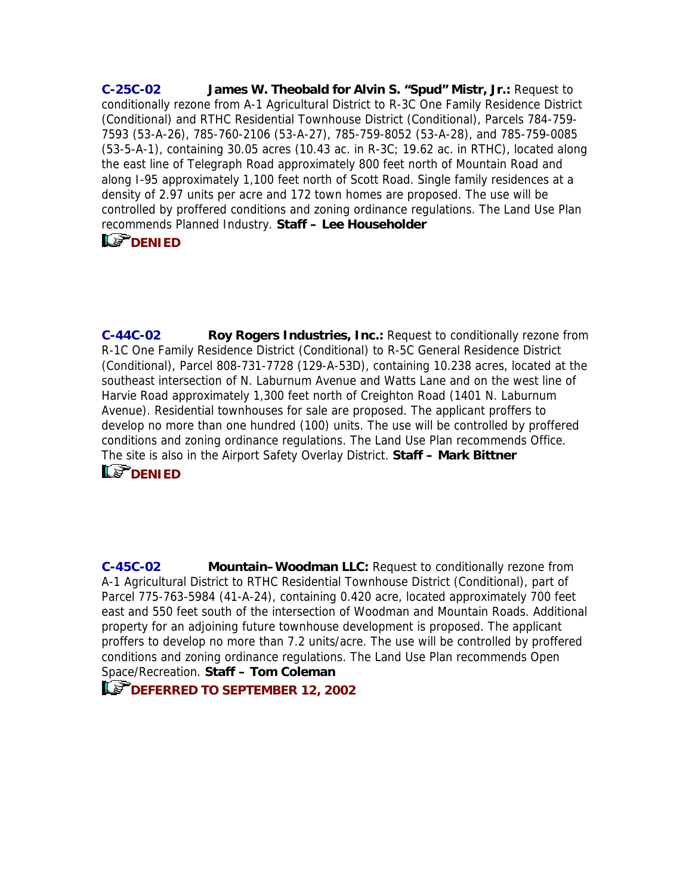**C-25C-02 James W. Theobald for Alvin S. "Spud" Mistr, Jr.:** Request to conditionally rezone from A-1 Agricultural District to R-3C One Family Residence District (Conditional) and RTHC Residential Townhouse District (Conditional), Parcels 784-759- 7593 (53-A-26), 785-760-2106 (53-A-27), 785-759-8052 (53-A-28), and 785-759-0085 (53-5-A-1), containing 30.05 acres (10.43 ac. in R-3C; 19.62 ac. in RTHC), located along the east line of Telegraph Road approximately 800 feet north of Mountain Road and along I-95 approximately 1,100 feet north of Scott Road. Single family residences at a density of 2.97 units per acre and 172 town homes are proposed. The use will be controlled by proffered conditions and zoning ordinance regulations. The Land Use Plan recommends Planned Industry. **Staff – Lee Householde[r](mailto:hou10@co.henrico.va.us)**

# LE<sup>T</sup>[DENIED](mailto:hou10@co.henrico.va.us)

**C-44C-02 Roy Rogers Industries, Inc.:** Request to conditionally rezone from R-1C One Family Residence District (Conditional) to R-5C General Residence District (Conditional), Parcel 808-731-7728 (129-A-53D), containing 10.238 acres, located at the southeast intersection of N. Laburnum Avenue and Watts Lane and on the west line of Harvie Road approximately 1,300 feet north of Creighton Road (1401 N. Laburnum Avenue). Residential townhouses for sale are proposed. The applicant proffers to develop no more than one hundred (100) units. The use will be controlled by proffered conditions and zoning ordinance regulations. The Land Use Plan recommends Office. The site is also in the Airport Safety Overlay District. **Staff – Mark Bittner LS DENIED** 

**C-45C-02 Mountain–Woodman LLC:** Request to conditionally rezone from A-1 Agricultural District to RTHC Residential Townhouse District (Conditional), part of Parcel 775-763-5984 (41-A-24), containing 0.420 acre, located approximately 700 feet east and 550 feet south of the intersection of Woodman and Mountain Roads. Additional property for an adjoining future townhouse development is proposed. The applicant proffers to develop no more than 7.2 units/acre. The use will be controlled by proffered conditions and zoning ordinance regulations. The Land Use Plan recommends Open Space/Recreation. **Staff – Tom Coleman** 

**DEFERRED TO SEPTEMBER 12, 2002**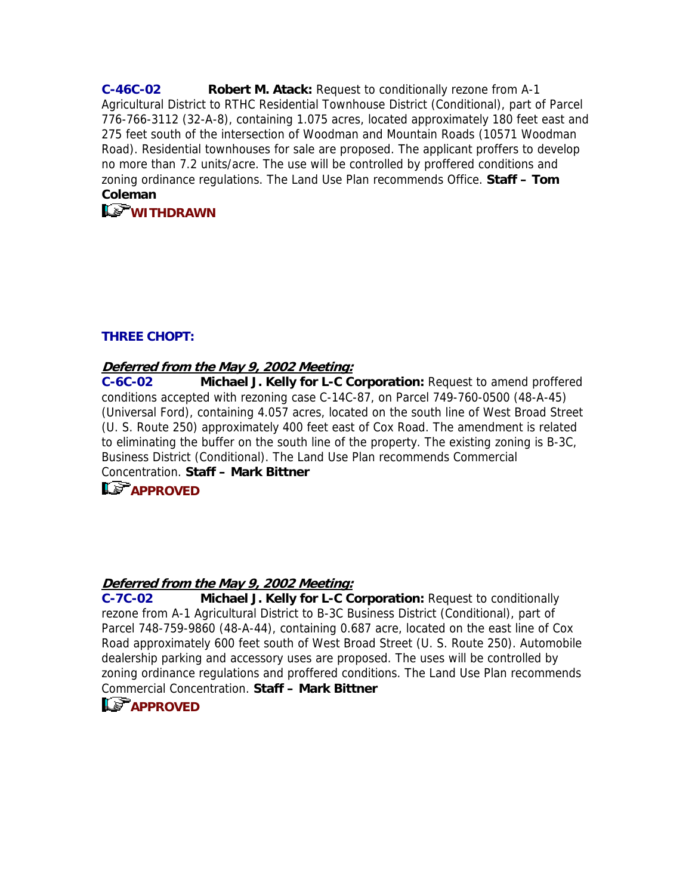**C-46C-02 Robert M. Atack:** Request to conditionally rezone from A-1 Agricultural District to RTHC Residential Townhouse District (Conditional), part of Parcel 776-766-3112 (32-A-8), containing 1.075 acres, located approximately 180 feet east and 275 feet south of the intersection of Woodman and Mountain Roads (10571 Woodman Road). Residential townhouses for sale are proposed. The applicant proffers to develop no more than 7.2 units/acre. The use will be controlled by proffered conditions and zoning or[d](mailto:col09@co.henrico.va.us)inance regulations. The Land Use Plan recommends Office. **Staff – Tom Coleman**

# **[WITHDRAWN](mailto:col09@co.henrico.va.us)**

### **THREE CHOPT:**

### **Deferred from the May 9, 2002 Meeting:**

**C-6C-02 Michael J. Kelly for L-C Corporation:** Request to amend proffered conditions accepted with rezoning case C-14C-87, on Parcel 749-760-0500 (48-A-45) (Universal Ford), containing 4.057 acres, located on the south line of West Broad Street (U. S. Route 250) approximately 400 feet east of Cox Road. The amendment is related to eliminating the buffer on the south line of the property. The existing zoning is B-3C, Business District (Conditional). The Land Use Plan recommends Commercial Concentration. **Staff – Mark Bittner** 

# **APPROVED**

# **Deferred from the May 9, 2002 Meeting:**

**C-7C-02 Michael J. Kelly for L-C Corporation:** Request to conditionally rezone from A-1 Agricultural District to B-3C Business District (Conditional), part of Parcel 748-759-9860 (48-A-44), containing 0.687 acre, located on the east line of Cox Road approximately 600 feet south of West Broad Street (U. S. Route 250). Automobile dealership parking and accessory uses are proposed. The uses will be controlled by zoning ordinance regulations and proffered conditions. The Land Use Plan recommends Commercial Concentration. **Staff – Mark Bittner** 

# **L.** APPROVED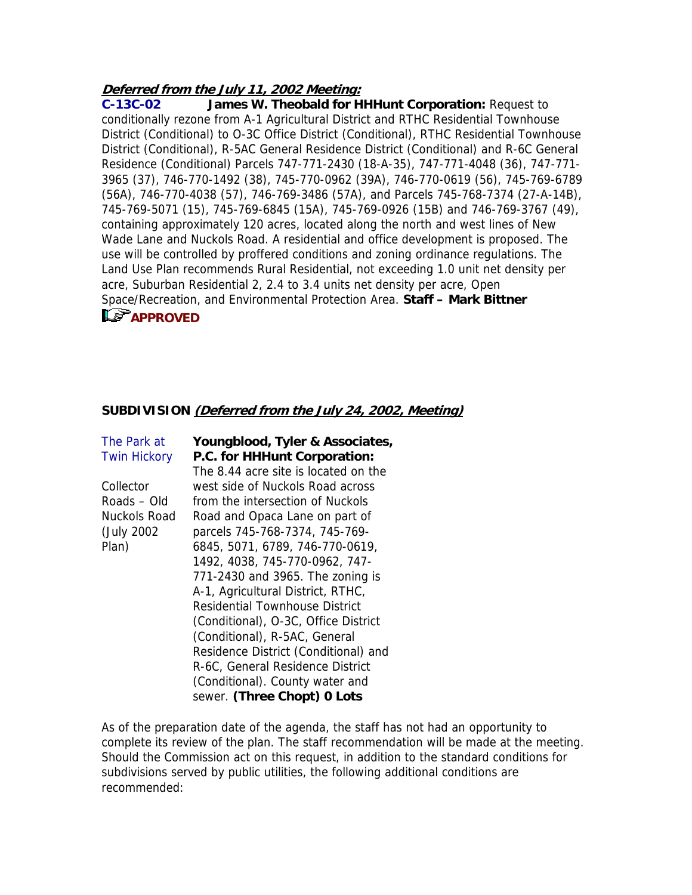## **Deferred from the July 11, 2002 Meeting:**

**C-13C-02 James W. Theobald for HHHunt Corporation:** Request to conditionally rezone from A-1 Agricultural District and RTHC Residential Townhouse District (Conditional) to O-3C Office District (Conditional), RTHC Residential Townhouse District (Conditional), R-5AC General Residence District (Conditional) and R-6C General Residence (Conditional) Parcels 747-771-2430 (18-A-35), 747-771-4048 (36), 747-771- 3965 (37), 746-770-1492 (38), 745-770-0962 (39A), 746-770-0619 (56), 745-769-6789 (56A), 746-770-4038 (57), 746-769-3486 (57A), and Parcels 745-768-7374 (27-A-14B), 745-769-5071 (15), 745-769-6845 (15A), 745-769-0926 (15B) and 746-769-3767 (49), containing approximately 120 acres, located along the north and west lines of New Wade Lane and Nuckols Road. A residential and office development is proposed. The use will be controlled by proffered conditions and zoning ordinance regulations. The Land Use Plan recommends Rural Residential, not exceeding 1.0 unit net density per acre, Suburban Residential 2, 2.4 to 3.4 units net density per acre, Open Space/Recreation, and Environmental Protection Area. **Staff – Mark Bittner** 

# **LE APPROVED**

## **SUBDIVISION (Deferred from the July 24, 2002, Meeting)**

| The Park at         | Youngblood, Tyler & Associates,       |
|---------------------|---------------------------------------|
| <b>Twin Hickory</b> | P.C. for HHHunt Corporation:          |
|                     | The 8.44 acre site is located on the  |
| Collector           | west side of Nuckols Road across      |
| Roads – Old         | from the intersection of Nuckols      |
| Nuckols Road        | Road and Opaca Lane on part of        |
| (July 2002)         | parcels 745-768-7374, 745-769-        |
| Plan)               | 6845, 5071, 6789, 746-770-0619,       |
|                     | 1492, 4038, 745-770-0962, 747-        |
|                     | 771-2430 and 3965. The zoning is      |
|                     | A-1, Agricultural District, RTHC,     |
|                     | <b>Residential Townhouse District</b> |
|                     | (Conditional), O-3C, Office District  |
|                     | (Conditional), R-5AC, General         |
|                     | Residence District (Conditional) and  |
|                     | R-6C, General Residence District      |
|                     | (Conditional). County water and       |
|                     | sewer. (Three Chopt) 0 Lots           |

As of the preparation date of the agenda, the staff has not had an opportunity to complete its review of the plan. The staff recommendation will be made at the meeting. Should the Commission act on this request, in addition to the standard conditions for subdivisions served by public utilities, the following additional conditions are recommended: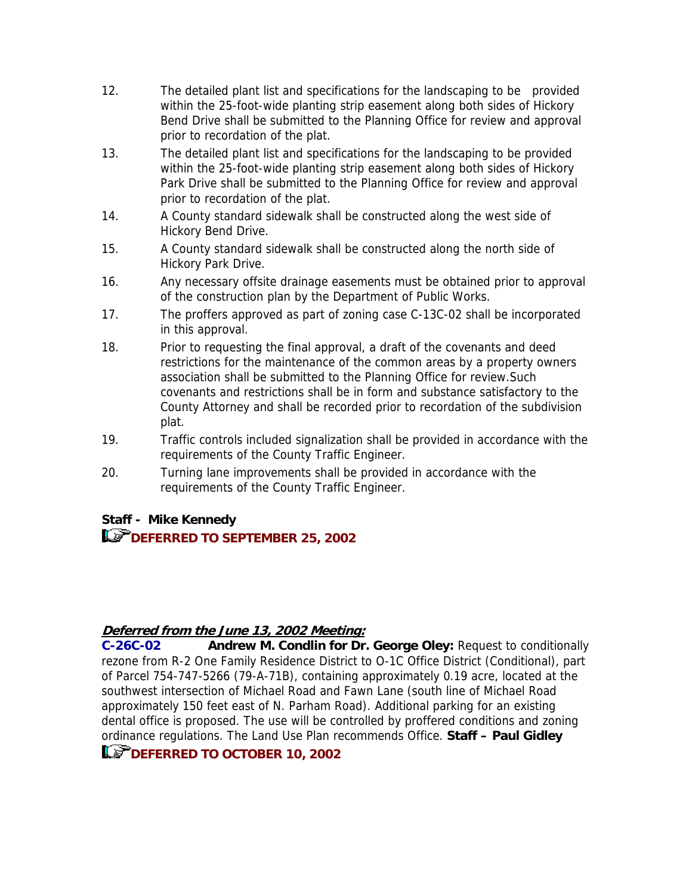- 12. The detailed plant list and specifications for the landscaping to be provided within the 25-foot-wide planting strip easement along both sides of Hickory Bend Drive shall be submitted to the Planning Office for review and approval prior to recordation of the plat.
- 13. The detailed plant list and specifications for the landscaping to be provided within the 25-foot-wide planting strip easement along both sides of Hickory Park Drive shall be submitted to the Planning Office for review and approval prior to recordation of the plat.
- 14. A County standard sidewalk shall be constructed along the west side of Hickory Bend Drive.
- 15. A County standard sidewalk shall be constructed along the north side of Hickory Park Drive.
- 16. Any necessary offsite drainage easements must be obtained prior to approval of the construction plan by the Department of Public Works.
- 17. The proffers approved as part of zoning case C-13C-02 shall be incorporated in this approval.
- 18. Prior to requesting the final approval, a draft of the covenants and deed restrictions for the maintenance of the common areas by a property owners association shall be submitted to the Planning Office for review.Such covenants and restrictions shall be in form and substance satisfactory to the County Attorney and shall be recorded prior to recordation of the subdivision plat.
- 19. Traffic controls included signalization shall be provided in accordance with the requirements of the County Traffic Engineer.
- 20. Turning lane improvements shall be provided in accordance with the requirements of the County Traffic Engineer.

# **Staff - Mike Kennedy**

# **DEFERRED TO SEPTEMBER 25, 2002**

# **Deferred from the June 13, 2002 Meeting:**

**C-26C-02 Andrew M. Condlin for Dr. George Oley:** Request to conditionally rezone from R-2 One Family Residence District to O-1C Office District (Conditional), part of Parcel 754-747-5266 (79-A-71B), containing approximately 0.19 acre, located at the southwest intersection of Michael Road and Fawn Lane (south line of Michael Road approximately 150 feet east of N. Parham Road). Additional parking for an existing dental office is proposed. The use will be controlled by proffered conditions and zoning ordinance regulations. The Land Use Plan recommends Office. **Staff – Paul Gidley** 

# **LET DEFERRED TO OCTOBER 10, 2002**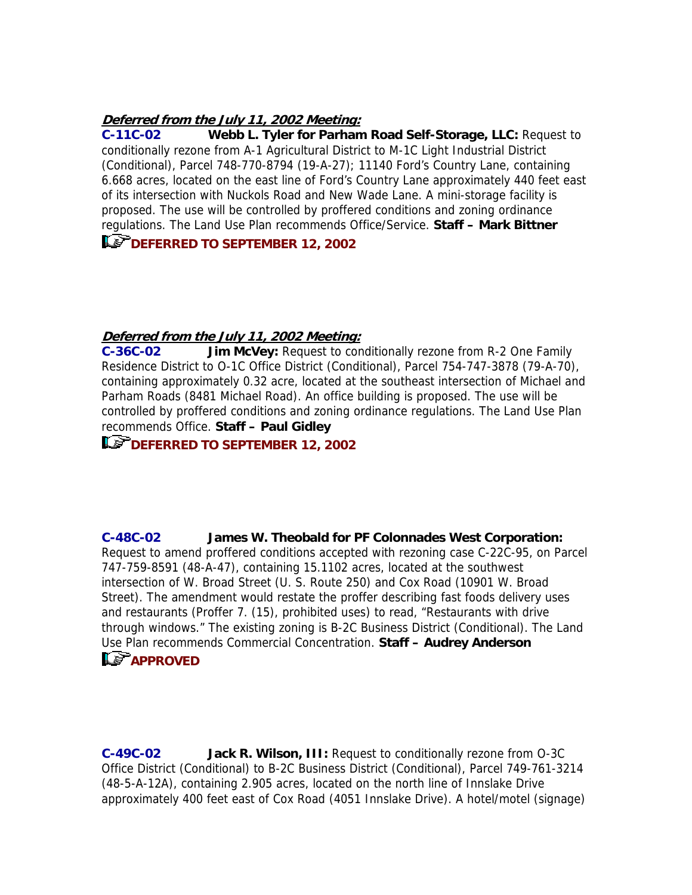### **Deferred from the July 11, 2002 Meeting:**

**C-11C-02 Webb L. Tyler for Parham Road Self-Storage, LLC:** Request to conditionally rezone from A-1 Agricultural District to M-1C Light Industrial District (Conditional), Parcel 748-770-8794 (19-A-27); 11140 Ford's Country Lane, containing 6.668 acres, located on the east line of Ford's Country Lane approximately 440 feet east of its intersection with Nuckols Road and New Wade Lane. A mini-storage facility is proposed. The use will be controlled by proffered conditions and zoning ordinance regulations. The Land Use Plan recommends Office/Service. **Staff – Mark Bittner** 

**DEFERRED TO SEPTEMBER 12, 2002** 

### **Deferred from the July 11, 2002 Meeting:**

**C-36C-02 Jim McVey:** Request to conditionally rezone from R-2 One Family Residence District to O-1C Office District (Conditional), Parcel 754-747-3878 (79-A-70), containing approximately 0.32 acre, located at the southeast intersection of Michael and Parham Roads (8481 Michael Road). An office building is proposed. The use will be controlled by proffered conditions and zoning ordinance regulations. The Land Use Plan recommends Office. **Staff – Paul Gidley** 

# **DEFERRED TO SEPTEMBER 12, 2002**

**C-48C-02 James W. Theobald for PF Colonnades West Corporation:** Request to amend proffered conditions accepted with rezoning case C-22C-95, on Parcel 747-759-8591 (48-A-47), containing 15.1102 acres, located at the southwest intersection of W. Broad Street (U. S. Route 250) and Cox Road (10901 W. Broad Street). The amendment would restate the proffer describing fast foods delivery uses and restaurants (Proffer 7. (15), prohibited uses) to read, "Restaurants with drive through windows." The existing zoning is B-2C Business District (Conditional). [T](mailto:and05@co.henrico.va.us)he Land Use Plan recommends Commercial Concentration. **Staff – Audrey Anderson LS** [APPROVED](mailto:and05@co.henrico.va.us)

**C-49C-02 Jack R. Wilson, III:** Request to conditionally rezone from O-3C Office District (Conditional) to B-2C Business District (Conditional), Parcel 749-761-3214 (48-5-A-12A), containing 2.905 acres, located on the north line of Innslake Drive approximately 400 feet east of Cox Road (4051 Innslake Drive). A hotel/motel (signage)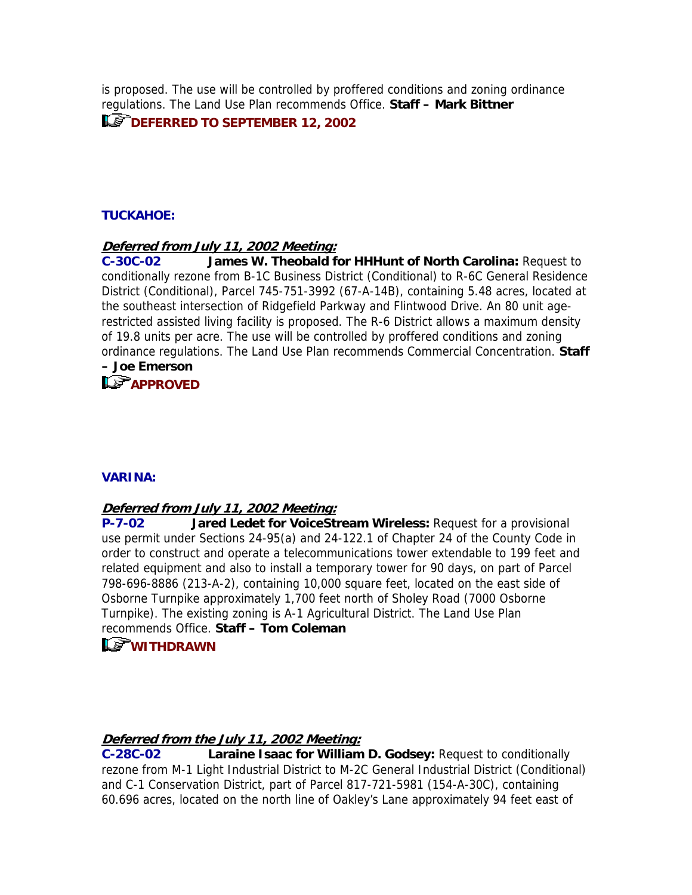is proposed. The use will be controlled by proffered conditions and zoning ordinance regulations. The Land Use Plan recommends Office. **Staff – Mark Bittner** 

## **LET DEFERRED TO SEPTEMBER 12, 2002**

## **TUCKAHOE:**

### **Deferred from July 11, 2002 Meeting:**

**C-30C-02 James W. Theobald for HHHunt of North Carolina:** Request to conditionally rezone from B-1C Business District (Conditional) to R-6C General Residence District (Conditional), Parcel 745-751-3992 (67-A-14B), containing 5.48 acres, located at the southeast intersection of Ridgefield Parkway and Flintwood Drive. An 80 unit agerestricted assisted living facility is proposed. The R-6 District allows a maximum density of 19.8 units per acre. The use will be controlled by proffered conditions and zoning ordinance regulations. The Land Use Plan recommends Commercial Concentration. **Staff – Joe Emerson** 

# **Le<sup>T</sup>APPROVED**

### **VARINA:**

#### **Deferred from July 11, 2002 Meeting:**

**P-7-02 Jared Ledet for VoiceStream Wireless:** Request for a provisional use permit under Sections 24-95(a) and 24-122.1 of Chapter 24 of the County Code in order to construct and operate a telecommunications tower extendable to 199 feet and related equipment and also to install a temporary tower for 90 days, on part of Parcel 798-696-8886 (213-A-2), containing 10,000 square feet, located on the east side of Osborne Turnpike approximately 1,700 feet north of Sholey Road (7000 Osborne Turnpike). The existing zoning is A-1 Agricul[tu](mailto:col09@co.henrico.va.us)ral District. The Land Use Plan recommends Office. **Staff – Tom Coleman**

# **[WITHDRAWN](mailto:col09@co.henrico.va.us)**

### **Deferred from the July 11, 2002 Meeting:**

**C-28C-02 Laraine Isaac for William D. Godsey:** Request to conditionally rezone from M-1 Light Industrial District to M-2C General Industrial District (Conditional) and C-1 Conservation District, part of Parcel 817-721-5981 (154-A-30C), containing 60.696 acres, located on the north line of Oakley's Lane approximately 94 feet east of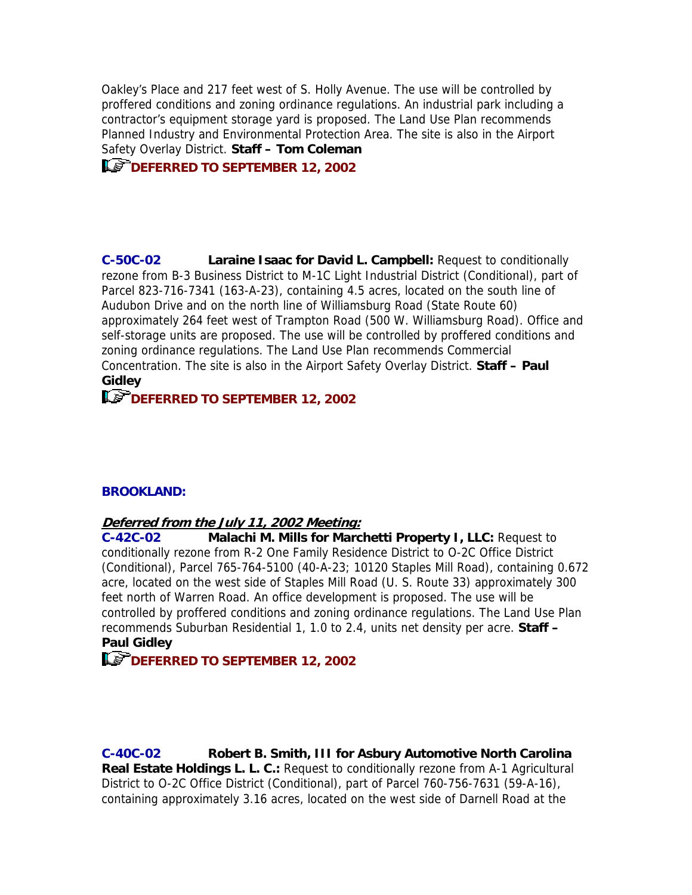Oakley's Place and 217 feet west of S. Holly Avenue. The use will be controlled by proffered conditions and zoning ordinance regulations. An industrial park including a contractor's equipment storage yard is proposed. The Land Use Plan recommends Planned Industry and Environmental Protection Area. The site is also in the Airport Safety Overlay District. **Staff – Tom Coleman** 

**LET DEFERRED TO SEPTEMBER 12, 2002** 

**C-50C-02 Laraine Isaac for David L. Campbell:** Request to conditionally rezone from B-3 Business District to M-1C Light Industrial District (Conditional), part of Parcel 823-716-7341 (163-A-23), containing 4.5 acres, located on the south line of Audubon Drive and on the north line of Williamsburg Road (State Route 60) approximately 264 feet west of Trampton Road (500 W. Williamsburg Road). Office and self-storage units are proposed. The use will be controlled by proffered conditions and zoning ordinance regulations. The Land Use Plan recommends Commercial Concentration. The site is also in the Airport Safety Overlay District. **Staff – Paul Gidley** 

# **DEFERRED TO SEPTEMBER 12, 2002**

### **BROOKLAND:**

#### **Deferred from the July 11, 2002 Meeting:**

**C-42C-02 Malachi M. Mills for Marchetti Property I, LLC:** Request to conditionally rezone from R-2 One Family Residence District to O-2C Office District (Conditional), Parcel 765-764-5100 (40-A-23; 10120 Staples Mill Road), containing 0.672 acre, located on the west side of Staples Mill Road (U. S. Route 33) approximately 300 feet north of Warren Road. An office development is proposed. The use will be controlled by proffered conditions and zoning ordinance regulations. The Land Use Plan recommends Suburban Residential 1, 1.0 to 2.4, units net density per acre. **Staff – Paul Gidley** 

# **DEFERRED TO SEPTEMBER 12, 2002**

**C-40C-02 Robert B. Smith, III for Asbury Automotive North Carolina Real Estate Holdings L. L. C.:** Request to conditionally rezone from A-1 Agricultural District to O-2C Office District (Conditional), part of Parcel 760-756-7631 (59-A-16), containing approximately 3.16 acres, located on the west side of Darnell Road at the